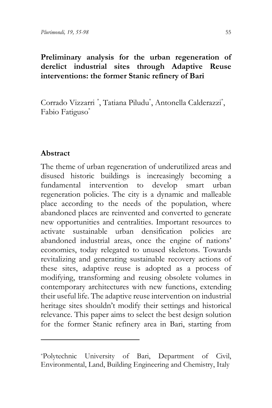### **Preliminary analysis for the urban regeneration of derelict industrial sites through Adaptive Reuse interventions: the former Stanic refinery of Bari**

Corrado Vizzarri [\\*](#page-0-0) , Tatiana Piludu\* , Antonella Calderazzi\* , Fabio Fatiguso\*

### **Abstract**

The theme of urban regeneration of underutilized areas and disused historic buildings is increasingly becoming a fundamental intervention to develop smart urban regeneration policies. The city is a dynamic and malleable place according to the needs of the population, where abandoned places are reinvented and converted to generate new opportunities and centralities. Important resources to activate sustainable urban densification policies are abandoned industrial areas, once the engine of nations' economies, today relegated to unused skeletons. Towards revitalizing and generating sustainable recovery actions of these sites, adaptive reuse is adopted as a process of modifying, transforming and reusing obsolete volumes in contemporary architectures with new functions, extending their useful life. The adaptive reuse intervention on industrial heritage sites shouldn't modify their settings and historical relevance. This paper aims to select the best design solution for the former Stanic refinery area in Bari, starting from

<span id="page-0-0"></span><sup>\*</sup>Polytechnic University of Bari, Department of Civil, Environmental, Land, Building Engineering and Chemistry, Italy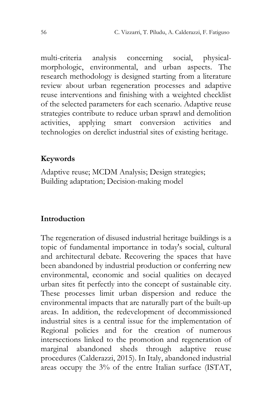multi-criteria analysis concerning social, physicalmorphologic, environmental, and urban aspects. The research methodology is designed starting from a literature review about urban regeneration processes and adaptive reuse interventions and finishing with a weighted checklist of the selected parameters for each scenario. Adaptive reuse strategies contribute to reduce urban sprawl and demolition activities, applying smart conversion activities and technologies on derelict industrial sites of existing heritage.

#### **Keywords**

Adaptive reuse; MCDM Analysis; Design strategies; Building adaptation; Decision-making model

### **Introduction**

The regeneration of disused industrial heritage buildings is a topic of fundamental importance in today's social, cultural and architectural debate. Recovering the spaces that have been abandoned by industrial production or conferring new environmental, economic and social qualities on decayed urban sites fit perfectly into the concept of sustainable city. These processes limit urban dispersion and reduce the environmental impacts that are naturally part of the built-up areas. In addition, the redevelopment of decommissioned industrial sites is a central issue for the implementation of Regional policies and for the creation of numerous intersections linked to the promotion and regeneration of marginal abandoned sheds through adaptive reuse procedures (Calderazzi, 2015). In Italy, abandoned industrial areas occupy the 3% of the entre Italian surface (ISTAT,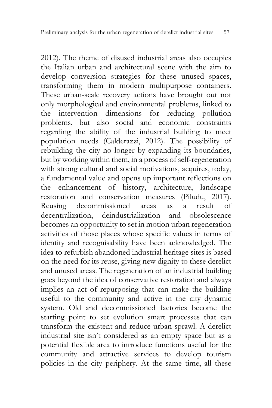2012). The theme of disused industrial areas also occupies the Italian urban and architectural scene with the aim to develop conversion strategies for these unused spaces, transforming them in modern multipurpose containers. These urban-scale recovery actions have brought out not only morphological and environmental problems, linked to the intervention dimensions for reducing pollution problems, but also social and economic constraints regarding the ability of the industrial building to meet population needs (Calderazzi, 2012). The possibility of rebuilding the city no longer by expanding its boundaries, but by working within them, in a process of self-regeneration with strong cultural and social motivations, acquires, today, a fundamental value and opens up important reflections on the enhancement of history, architecture, landscape restoration and conservation measures (Piludu, 2017). Reusing decommissioned areas as a result of decentralization, deindustrialization and obsolescence becomes an opportunity to set in motion urban regeneration activities of those places whose specific values in terms of identity and recognisability have been acknowledged. The idea to refurbish abandoned industrial heritage sites is based on the need for its reuse, giving new dignity to these derelict and unused areas. The regeneration of an industrial building goes beyond the idea of conservative restoration and always implies an act of repurposing that can make the building useful to the community and active in the city dynamic system. Old and decommissioned factories become the starting point to set evolution smart processes that can transform the existent and reduce urban sprawl. A derelict industrial site isn't considered as an empty space but as a potential flexible area to introduce functions useful for the community and attractive services to develop tourism policies in the city periphery. At the same time, all these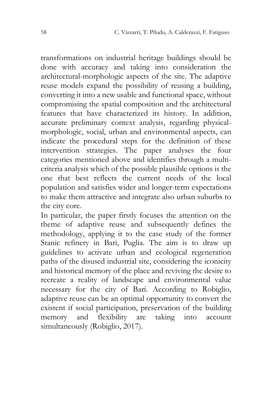transformations on industrial heritage buildings should be done with accuracy and taking into consideration the architectural-morphologic aspects of the site. The adaptive reuse models expand the possibility of reusing a building, converting it into a new usable and functional space, without compromising the spatial composition and the architectural features that have characterized its history. In addition, accurate preliminary context analysis, regarding physicalmorphologic, social, urban and environmental aspects, can indicate the procedural steps for the definition of these intervention strategies. The paper analyses the four categories mentioned above and identifies through a multicriteria analysis which of the possible plausible options is the one that best reflects the current needs of the local population and satisfies wider and longer-term expectations to make them attractive and integrate also urban suburbs to the city core.

In particular, the paper firstly focuses the attention on the theme of adaptive reuse and subsequently defines the methodology, applying it to the case study of the former Stanic refinery in Bari, Puglia. The aim is to draw up guidelines to activate urban and ecological regeneration paths of the disused industrial site, considering the iconicity and historical memory of the place and reviving the desire to recreate a reality of landscape and environmental value necessary for the city of Bari. According to Robiglio, adaptive reuse can be an optimal opportunity to convert the existent if social participation, preservation of the building memory and flexibility are taking into account simultaneously (Robiglio, 2017).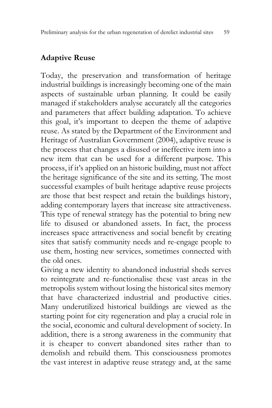## **Adaptive Reuse**

Today, the preservation and transformation of heritage industrial buildings is increasingly becoming one of the main aspects of sustainable urban planning. It could be easily managed if stakeholders analyse accurately all the categories and parameters that affect building adaptation. To achieve this goal, it's important to deepen the theme of adaptive reuse. As stated by the Department of the Environment and Heritage of Australian Government (2004), adaptive reuse is the process that changes a disused or ineffective item into a new item that can be used for a different purpose. This process, if it's applied on an historic building, must not affect the heritage significance of the site and its setting. The most successful examples of built heritage adaptive reuse projects are those that best respect and retain the buildings history, adding contemporary layers that increase site attractiveness. This type of renewal strategy has the potential to bring new life to disused or abandoned assets. In fact, the process increases space attractiveness and social benefit by creating sites that satisfy community needs and re-engage people to use them, hosting new services, sometimes connected with the old ones.

Giving a new identity to abandoned industrial sheds serves to reintegrate and re-functionalise these vast areas in the metropolis system without losing the historical sites memory that have characterized industrial and productive cities. Many underutilized historical buildings are viewed as the starting point for city regeneration and play a crucial role in the social, economic and cultural development of society. In addition, there is a strong awareness in the community that it is cheaper to convert abandoned sites rather than to demolish and rebuild them. This consciousness promotes the vast interest in adaptive reuse strategy and, at the same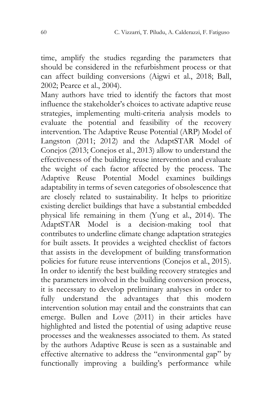time, amplify the studies regarding the parameters that should be considered in the refurbishment process or that can affect building conversions (Aigwi et al., 2018; Ball, 2002; Pearce et al., 2004).

Many authors have tried to identify the factors that most influence the stakeholder's choices to activate adaptive reuse strategies, implementing multi-criteria analysis models to evaluate the potential and feasibility of the recovery intervention. The Adaptive Reuse Potential (ARP) Model of Langston (2011; 2012) and the AdaptSTAR Model of Conejos (2013; Conejos et al., 2013) allow to understand the effectiveness of the building reuse intervention and evaluate the weight of each factor affected by the process. The Adaptive Reuse Potential Model examines buildings adaptability in terms of seven categories of obsolescence that are closely related to sustainability. It helps to prioritize existing derelict buildings that have a substantial embedded physical life remaining in them (Yung et al., 2014). The AdaptSTAR Model is a decision-making tool that contributes to underline climate change adaptation strategies for built assets. It provides a weighted checklist of factors that assists in the development of building transformation policies for future reuse interventions (Conejos et al., 2015). In order to identify the best building recovery strategies and the parameters involved in the building conversion process, it is necessary to develop preliminary analyses in order to fully understand the advantages that this modern intervention solution may entail and the constraints that can emerge. Bullen and Love (2011) in their articles have highlighted and listed the potential of using adaptive reuse processes and the weaknesses associated to them. As stated by the authors Adaptive Reuse is seen as a sustainable and effective alternative to address the "environmental gap" by functionally improving a building's performance while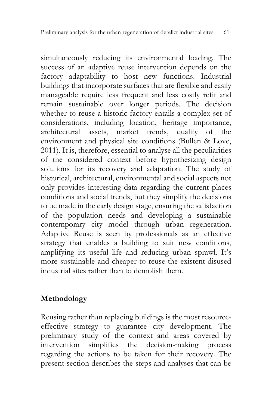simultaneously reducing its environmental loading. The success of an adaptive reuse intervention depends on the factory adaptability to host new functions. Industrial buildings that incorporate surfaces that are flexible and easily manageable require less frequent and less costly refit and remain sustainable over longer periods. The decision whether to reuse a historic factory entails a complex set of considerations, including location, heritage importance, architectural assets, market trends, quality of the environment and physical site conditions (Bullen & Love, 2011). It is, therefore, essential to analyse all the peculiarities of the considered context before hypothesizing design solutions for its recovery and adaptation. The study of historical, architectural, environmental and social aspects not only provides interesting data regarding the current places conditions and social trends, but they simplify the decisions to be made in the early design stage, ensuring the satisfaction of the population needs and developing a sustainable contemporary city model through urban regeneration. Adaptive Reuse is seen by professionals as an effective strategy that enables a building to suit new conditions, amplifying its useful life and reducing urban sprawl. It's more sustainable and cheaper to reuse the existent disused industrial sites rather than to demolish them.

## **Methodology**

Reusing rather than replacing buildings is the most resourceeffective strategy to guarantee city development. The preliminary study of the context and areas covered by intervention simplifies the decision-making process regarding the actions to be taken for their recovery. The present section describes the steps and analyses that can be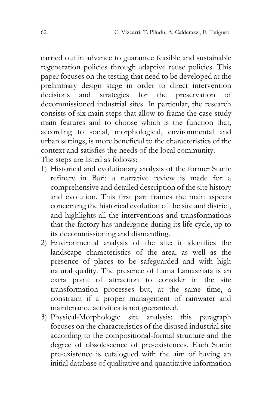carried out in advance to guarantee feasible and sustainable regeneration policies through adaptive reuse policies. This paper focuses on the testing that need to be developed at the preliminary design stage in order to direct intervention decisions and strategies for the preservation of decommissioned industrial sites. In particular, the research consists of six main steps that allow to frame the case study main features and to choose which is the function that, according to social, morphological, environmental and urban settings, is more beneficial to the characteristics of the context and satisfies the needs of the local community. The steps are listed as follows:

- 1) Historical and evolutionary analysis of the former Stanic refinery in Bari: a narrative review is made for a comprehensive and detailed description of the site history and evolution. This first part frames the main aspects concerning the historical evolution of the site and district, and highlights all the interventions and transformations that the factory has undergone during its life cycle, up to its decommissioning and dismantling.
- 2) Environmental analysis of the site: it identifies the landscape characteristics of the area, as well as the presence of places to be safeguarded and with high natural quality. The presence of Lama Lamasinata is an extra point of attraction to consider in the site transformation processes but, at the same time, a constraint if a proper management of rainwater and maintenance activities is not guaranteed.
- 3) Physical-Morphologic site analysis: this paragraph focuses on the characteristics of the disused industrial site according to the compositional-formal structure and the degree of obsolescence of pre-existences. Each Stanic pre-existence is catalogued with the aim of having an initial database of qualitative and quantitative information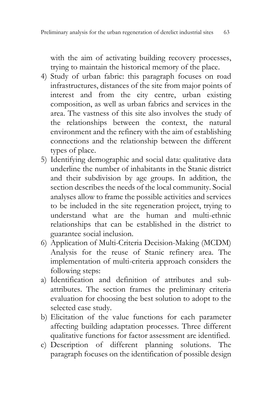with the aim of activating building recovery processes, trying to maintain the historical memory of the place.

- 4) Study of urban fabric: this paragraph focuses on road infrastructures, distances of the site from major points of interest and from the city centre, urban existing composition, as well as urban fabrics and services in the area. The vastness of this site also involves the study of the relationships between the context, the natural environment and the refinery with the aim of establishing connections and the relationship between the different types of place.
- 5) Identifying demographic and social data: qualitative data underline the number of inhabitants in the Stanic district and their subdivision by age groups. In addition, the section describes the needs of the local community. Social analyses allow to frame the possible activities and services to be included in the site regeneration project, trying to understand what are the human and multi-ethnic relationships that can be established in the district to guarantee social inclusion.
- 6) Application of Multi-Criteria Decision-Making (MCDM) Analysis for the reuse of Stanic refinery area. The implementation of multi-criteria approach considers the following steps:
- a) Identification and definition of attributes and subattributes. The section frames the preliminary criteria evaluation for choosing the best solution to adopt to the selected case study.
- b) Elicitation of the value functions for each parameter affecting building adaptation processes. Three different qualitative functions for factor assessment are identified.
- c) Description of different planning solutions. The paragraph focuses on the identification of possible design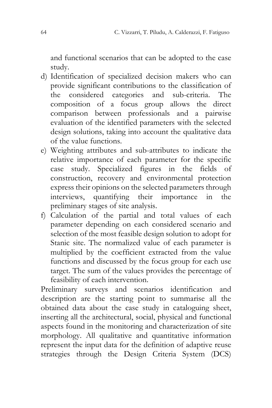and functional scenarios that can be adopted to the case study.

- d) Identification of specialized decision makers who can provide significant contributions to the classification of the considered categories and sub-criteria. The composition of a focus group allows the direct comparison between professionals and a pairwise evaluation of the identified parameters with the selected design solutions, taking into account the qualitative data of the value functions.
- e) Weighting attributes and sub-attributes to indicate the relative importance of each parameter for the specific case study. Specialized figures in the fields of construction, recovery and environmental protection express their opinions on the selected parameters through interviews, quantifying their importance in the preliminary stages of site analysis.
- f) Calculation of the partial and total values of each parameter depending on each considered scenario and selection of the most feasible design solution to adopt for Stanic site. The normalized value of each parameter is multiplied by the coefficient extracted from the value functions and discussed by the focus group for each use target. The sum of the values provides the percentage of feasibility of each intervention.

Preliminary surveys and scenarios identification and description are the starting point to summarise all the obtained data about the case study in cataloguing sheet, inserting all the architectural, social, physical and functional aspects found in the monitoring and characterization of site morphology. All qualitative and quantitative information represent the input data for the definition of adaptive reuse strategies through the Design Criteria System (DCS)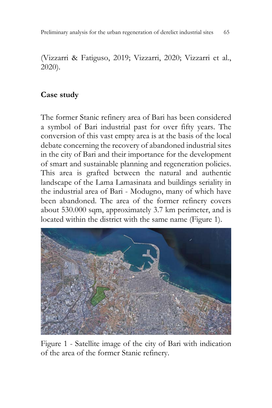(Vizzarri & Fatiguso, 2019; Vizzarri, 2020; Vizzarri et al., 2020).

### **Case study**

The former Stanic refinery area of Bari has been considered a symbol of Bari industrial past for over fifty years. The conversion of this vast empty area is at the basis of the local debate concerning the recovery of abandoned industrial sites in the city of Bari and their importance for the development of smart and sustainable planning and regeneration policies. This area is grafted between the natural and authentic landscape of the Lama Lamasinata and buildings seriality in the industrial area of Bari - Modugno, many of which have been abandoned. The area of the former refinery covers about 530.000 sqm, approximately 3.7 km perimeter, and is located within the district with the same name (Figure 1).



Figure 1 - Satellite image of the city of Bari with indication of the area of the former Stanic refinery.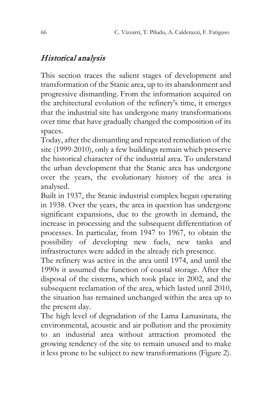## Historical analysis

This section traces the salient stages of development and transformation of the Stanic area, up to its abandonment and progressive dismantling. From the information acquired on the architectural evolution of the refinery's time, it emerges that the industrial site has undergone many transformations over time that have gradually changed the composition of its spaces.

Today, after the dismantling and repeated remediation of the site (1999-2010), only a few buildings remain which preserve the historical character of the industrial area. To understand the urban development that the Stanic area has undergone over the years, the evolutionary history of the area is analysed.

Built in 1937, the Stanic industrial complex began operating in 1938. Over the years, the area in question has undergone significant expansions, due to the growth in demand, the increase in processing and the subsequent differentiation of processes. In particular, from 1947 to 1967, to obtain the possibility of developing new fuels, new tanks and infrastructures were added in the already rich presence.

The refinery was active in the area until 1974, and until the 1990s it assumed the function of coastal storage. After the disposal of the cisterns, which took place in 2002, and the subsequent reclamation of the area, which lasted until 2010, the situation has remained unchanged within the area up to the present day.

The high level of degradation of the Lama Lamasinata, the environmental, acoustic and air pollution and the proximity to an industrial area without attraction promoted the growing tendency of the site to remain unused and to make it less prone to be subject to new transformations (Figure 2).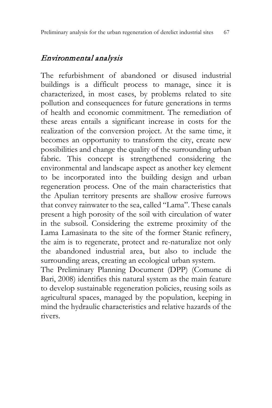## Environmental analysis

The refurbishment of abandoned or disused industrial buildings is a difficult process to manage, since it is characterized, in most cases, by problems related to site pollution and consequences for future generations in terms of health and economic commitment. The remediation of these areas entails a significant increase in costs for the realization of the conversion project. At the same time, it becomes an opportunity to transform the city, create new possibilities and change the quality of the surrounding urban fabric. This concept is strengthened considering the environmental and landscape aspect as another key element to be incorporated into the building design and urban regeneration process. One of the main characteristics that the Apulian territory presents are shallow erosive furrows that convey rainwater to the sea, called "Lama". These canals present a high porosity of the soil with circulation of water in the subsoil. Considering the extreme proximity of the Lama Lamasinata to the site of the former Stanic refinery, the aim is to regenerate, protect and re-naturalize not only the abandoned industrial area, but also to include the surrounding areas, creating an ecological urban system. The Preliminary Planning Document (DPP) (Comune di

Bari, 2008) identifies this natural system as the main feature to develop sustainable regeneration policies, reusing soils as agricultural spaces, managed by the population, keeping in mind the hydraulic characteristics and relative hazards of the rivers.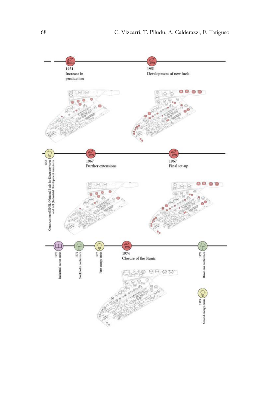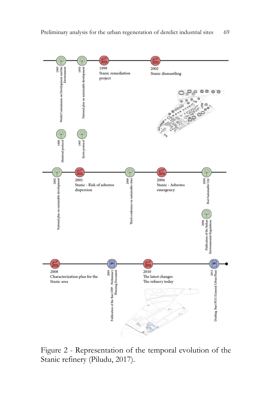

Figure 2 - Representation of the temporal evolution of the Stanic refinery (Piludu, 2017).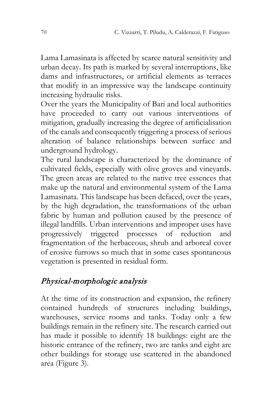Lama Lamasinata is affected by scarce natural sensitivity and urban decay. Its path is marked by several interruptions, like dams and infrastructures, or artificial elements as terraces that modify in an impressive way the landscape continuity increasing hydraulic risks.

Over the years the Municipality of Bari and local authorities have proceeded to carry out various interventions of mitigation, gradually increasing the degree of artificialisation of the canals and consequently triggering a process of serious alteration of balance relationships between surface and underground hydrology.

The rural landscape is characterized by the dominance of cultivated fields, especially with olive groves and vineyards. The green areas are related to the native tree essences that make up the natural and environmental system of the Lama Lamasinata. This landscape has been defaced, over the years, by the high degradation, the transformations of the urban fabric by human and pollution caused by the presence of illegal landfills. Urban interventions and improper uses have progressively triggered processes of reduction and fragmentation of the herbaceous, shrub and arboreal cover of erosive furrows so much that in some cases spontaneous vegetation is presented in residual form.

## Physical-morphologic analysis

At the time of its construction and expansion, the refinery contained hundreds of structures including buildings, warehouses, service rooms and tanks. Today only a few buildings remain in the refinery site. The research carried out has made it possible to identify 18 buildings: eight are the historic entrance of the refinery, two are tanks and eight are other buildings for storage use scattered in the abandoned area (Figure 3).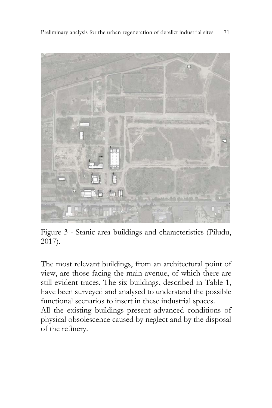Preliminary analysis for the urban regeneration of derelict industrial sites71



Figure 3 - Stanic area buildings and characteristics (Piludu, 2017).

The most relevant buildings, from an architectural point of view, are those facing the main avenue, of which there are still evident traces. The six buildings, described in Table 1, have been surveyed and analysed to understand the possible functional scenarios to insert in these industrial spaces.

All the existing buildings present advanced conditions of physical obsolescence caused by neglect and by the disposal of the refinery.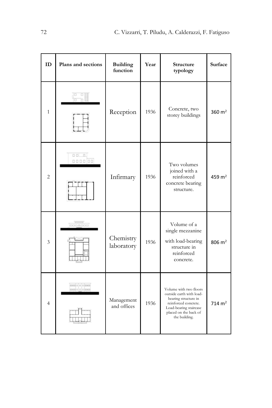| <b>ID</b>      | Plans and sections             | <b>Building</b><br>function | Year | Structure<br>typology                                                                                                                                                  | <b>Surface</b>      |
|----------------|--------------------------------|-----------------------------|------|------------------------------------------------------------------------------------------------------------------------------------------------------------------------|---------------------|
| $\mathbf{1}$   |                                | Reception                   | 1936 | Concrete, two<br>storey buildings                                                                                                                                      | 360 $m2$            |
| $\overline{2}$ | $n - n$<br>000000              | Infirmary                   | 1936 | Two volumes<br>joined with a<br>reinforced<br>concrete bearing<br>structure.                                                                                           | 459 $m2$            |
| 3              | $\frac{1}{\log n}$             | Chemistry<br>laboratory     | 1936 | Volume of a<br>single mezzanine<br>with load-bearing<br>structure in<br>reinforced<br>concrete.                                                                        | $806 \; \text{m}^2$ |
| $\overline{4}$ | analo o oinen<br>analo n oinen | Management<br>and offices   | 1936 | Volume with two floors<br>outside earth with load-<br>bearing structure in<br>reinforced concrete.<br>Load-bearing staircase<br>placed on the back of<br>the building. | $714 \; \text{m}^2$ |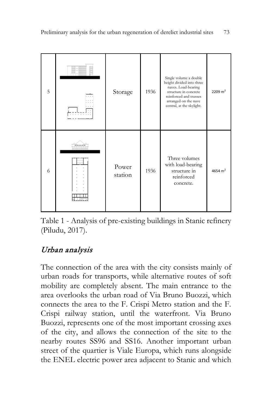

Table 1 - Analysis of pre-existing buildings in Stanic refinery (Piludu, 2017).

# Urban analysis

The connection of the area with the city consists mainly of urban roads for transports, while alternative routes of soft mobility are completely absent. The main entrance to the area overlooks the urban road of Via Bruno Buozzi, which connects the area to the F. Crispi Metro station and the F. Crispi railway station, until the waterfront. Via Bruno Buozzi, represents one of the most important crossing axes of the city, and allows the connection of the site to the nearby routes SS96 and SS16. Another important urban street of the quartier is Viale Europa, which runs alongside the ENEL electric power area adjacent to Stanic and which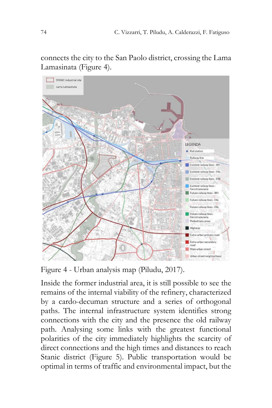

connects the city to the San Paolo district, crossing the Lama Lamasinata (Figure 4).

Figure 4 - Urban analysis map (Piludu, 2017).

Inside the former industrial area, it is still possible to see the remains of the internal viability of the refinery, characterized by a cardo-decuman structure and a series of orthogonal paths. The internal infrastructure system identifies strong connections with the city and the presence the old railway path. Analysing some links with the greatest functional polarities of the city immediately highlights the scarcity of direct connections and the high times and distances to reach Stanic district (Figure 5). Public transportation would be optimal in terms of traffic and environmental impact, but the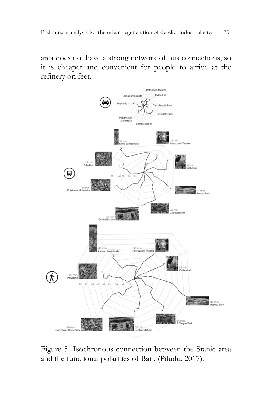area does not have a strong network of bus connections, so it is cheaper and convenient for people to arrive at the refinery on feet.



Figure 5 -Isochronous connection between the Stanic area and the functional polarities of Bari. (Piludu, 2017).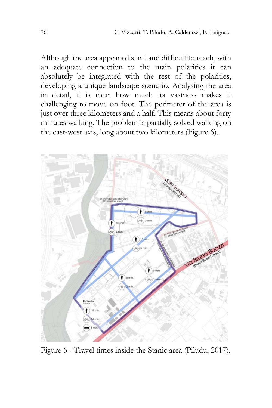Although the area appears distant and difficult to reach, with an adequate connection to the main polarities it can absolutely be integrated with the rest of the polarities, developing a unique landscape scenario. Analysing the area in detail, it is clear how much its vastness makes it challenging to move on foot. The perimeter of the area is just over three kilometers and a half. This means about forty minutes walking. The problem is partially solved walking on the east-west axis, long about two kilometers (Figure 6).



Figure 6 - Travel times inside the Stanic area (Piludu, 2017).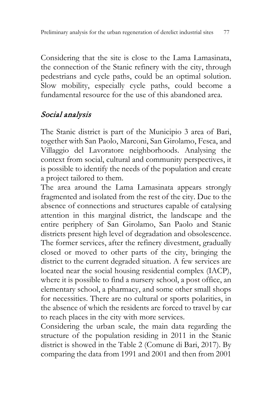Considering that the site is close to the Lama Lamasinata, the connection of the Stanic refinery with the city, through pedestrians and cycle paths, could be an optimal solution. Slow mobility, especially cycle paths, could become a fundamental resource for the use of this abandoned area.

## Social analysis

The Stanic district is part of the Municipio 3 area of Bari, together with San Paolo, Marconi, San Girolamo, Fesca, and Villaggio del Lavoratore neighborhoods. Analysing the context from social, cultural and community perspectives, it is possible to identify the needs of the population and create a project tailored to them.

The area around the Lama Lamasinata appears strongly fragmented and isolated from the rest of the city. Due to the absence of connections and structures capable of catalysing attention in this marginal district, the landscape and the entire periphery of San Girolamo, San Paolo and Stanic districts present high level of degradation and obsolescence. The former services, after the refinery divestment, gradually closed or moved to other parts of the city, bringing the district to the current degraded situation. A few services are located near the social housing residential complex (IACP), where it is possible to find a nursery school, a post office, an elementary school, a pharmacy, and some other small shops for necessities. There are no cultural or sports polarities, in the absence of which the residents are forced to travel by car to reach places in the city with more services.

Considering the urban scale, the main data regarding the structure of the population residing in 2011 in the Stanic district is showed in the Table 2 (Comune di Bari, 2017). By comparing the data from 1991 and 2001 and then from 2001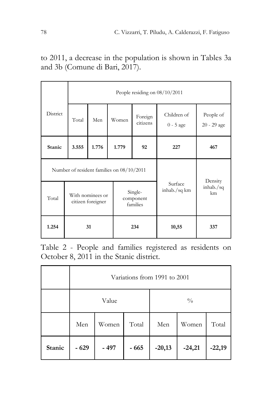to 2011, a decrease in the population is shown in Tables 3a and 3b (Comune di Bari, 2017).

|             |                                       | People residing on $08/10/2011$ |                                           |                                  |                            |                            |  |  |  |
|-------------|---------------------------------------|---------------------------------|-------------------------------------------|----------------------------------|----------------------------|----------------------------|--|--|--|
| District    | Total                                 | Men                             | Women                                     | Foreign<br>citizens              | Children of<br>$0 - 5$ age | People of<br>20 - 29 age   |  |  |  |
| Stanic      | 3.555                                 | 1.776                           | 1.779                                     | 92                               | 227                        | 467                        |  |  |  |
|             |                                       |                                 | Number of resident families on 08/10/2011 |                                  |                            |                            |  |  |  |
| Total       | With nominees or<br>citizen foreigner |                                 |                                           | Single-<br>component<br>families | Surface<br>inhab./sq km    | Density<br>inhab./sq<br>km |  |  |  |
| 31<br>1.254 |                                       |                                 | 234                                       | 10,55                            | 337                        |                            |  |  |  |

Table 2 - People and families registered as residents on October 8, 2011 in the Stanic district.

|        | Variations from 1991 to 2001 |       |       |               |          |          |  |  |  |
|--------|------------------------------|-------|-------|---------------|----------|----------|--|--|--|
|        |                              | Value |       | $\frac{0}{0}$ |          |          |  |  |  |
|        | Total<br>Women<br>Men        |       | Men   | Women         | Total    |          |  |  |  |
| Stanic | $-629$                       | - 497 | - 665 | $-20,13$      | $-24,21$ | $-22,19$ |  |  |  |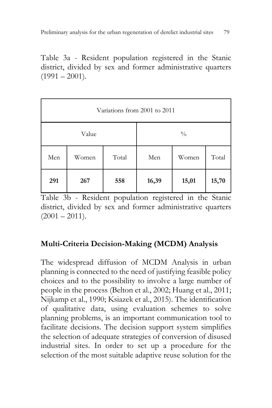Table 3a - Resident population registered in the Stanic district, divided by sex and former administrative quarters  $(1991 - 2001)$ .

| Variations from 2001 to 2011 |       |       |               |       |       |  |  |  |
|------------------------------|-------|-------|---------------|-------|-------|--|--|--|
|                              | Value |       | $\frac{0}{0}$ |       |       |  |  |  |
| Men                          | Women | Total | Men           | Women | Total |  |  |  |
| 291                          | 267   | 558   | 16,39         | 15,01 | 15,70 |  |  |  |

Table 3b - Resident population registered in the Stanic district, divided by sex and former administrative quarters  $(2001 - 2011).$ 

### **Multi-Criteria Decision-Making (MCDM) Analysis**

The widespread diffusion of MCDM Analysis in urban planning is connected to the need of justifying feasible policy choices and to the possibility to involve a large number of people in the process (Belton et al., 2002; Huang et al., 2011; Nijkamp et al., 1990; Ksiazek et al., 2015). The identification of qualitative data, using evaluation schemes to solve planning problems, is an important communication tool to facilitate decisions. The decision support system simplifies the selection of adequate strategies of conversion of disused industrial sites. In order to set up a procedure for the selection of the most suitable adaptive reuse solution for the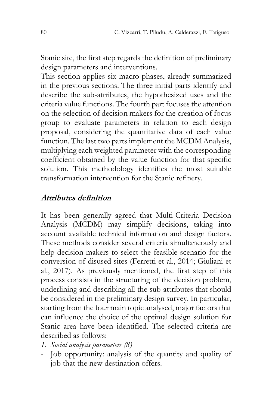Stanic site, the first step regards the definition of preliminary design parameters and interventions.

This section applies six macro-phases, already summarized in the previous sections. The three initial parts identify and describe the sub-attributes, the hypothesized uses and the criteria value functions. The fourth part focuses the attention on the selection of decision makers for the creation of focus group to evaluate parameters in relation to each design proposal, considering the quantitative data of each value function. The last two parts implement the MCDM Analysis, multiplying each weighted parameter with the corresponding coefficient obtained by the value function for that specific solution. This methodology identifies the most suitable transformation intervention for the Stanic refinery.

### Attributes definition

It has been generally agreed that Multi-Criteria Decision Analysis (MCDM) may simplify decisions, taking into account available technical information and design factors. These methods consider several criteria simultaneously and help decision makers to select the feasible scenario for the conversion of disused sites (Ferretti et al., 2014; Giuliani et al., 2017). As previously mentioned, the first step of this process consists in the structuring of the decision problem, underlining and describing all the sub-attributes that should be considered in the preliminary design survey. In particular, starting from the four main topic analysed, major factors that can influence the choice of the optimal design solution for Stanic area have been identified. The selected criteria are described as follows:

- *1. Social analysis parameters (8)*
- Job opportunity: analysis of the quantity and quality of job that the new destination offers.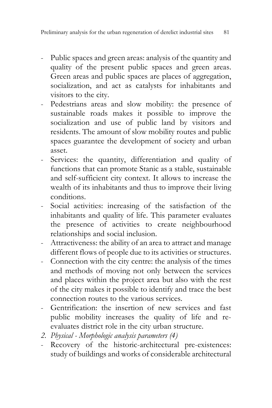- Public spaces and green areas: analysis of the quantity and quality of the present public spaces and green areas. Green areas and public spaces are places of aggregation, socialization, and act as catalysts for inhabitants and visitors to the city.
- Pedestrians areas and slow mobility: the presence of sustainable roads makes it possible to improve the socialization and use of public land by visitors and residents. The amount of slow mobility routes and public spaces guarantee the development of society and urban asset.
- Services: the quantity, differentiation and quality of functions that can promote Stanic as a stable, sustainable and self-sufficient city context. It allows to increase the wealth of its inhabitants and thus to improve their living conditions.
- Social activities: increasing of the satisfaction of the inhabitants and quality of life. This parameter evaluates the presence of activities to create neighbourhood relationships and social inclusion.
- Attractiveness: the ability of an area to attract and manage different flows of people due to its activities or structures.
- Connection with the city centre: the analysis of the times and methods of moving not only between the services and places within the project area but also with the rest of the city makes it possible to identify and trace the best connection routes to the various services.
- Gentrification: the insertion of new services and fast public mobility increases the quality of life and reevaluates district role in the city urban structure.
- *2. Physical - Morphologic analysis parameters (4)*
- Recovery of the historic-architectural pre-existences: study of buildings and works of considerable architectural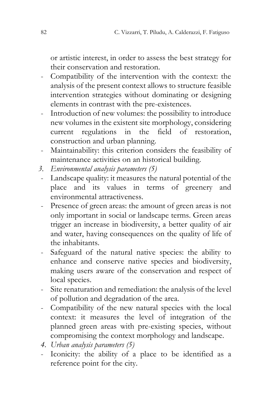or artistic interest, in order to assess the best strategy for their conservation and restoration.

- Compatibility of the intervention with the context: the analysis of the present context allows to structure feasible intervention strategies without dominating or designing elements in contrast with the pre-existences.
- Introduction of new volumes: the possibility to introduce new volumes in the existent site morphology, considering current regulations in the field of restoration, construction and urban planning.
- Maintainability: this criterion considers the feasibility of maintenance activities on an historical building.
- *3. Environmental analysis parameters (5)*
- Landscape quality: it measures the natural potential of the place and its values in terms of greenery and environmental attractiveness.
- Presence of green areas: the amount of green areas is not only important in social or landscape terms. Green areas trigger an increase in biodiversity, a better quality of air and water, having consequences on the quality of life of the inhabitants.
- Safeguard of the natural native species: the ability to enhance and conserve native species and biodiversity, making users aware of the conservation and respect of local species.
- Site renaturation and remediation: the analysis of the level of pollution and degradation of the area.
- Compatibility of the new natural species with the local context: it measures the level of integration of the planned green areas with pre-existing species, without compromising the context morphology and landscape.
- *4. Urban analysis parameters (5)*
- Iconicity: the ability of a place to be identified as a reference point for the city.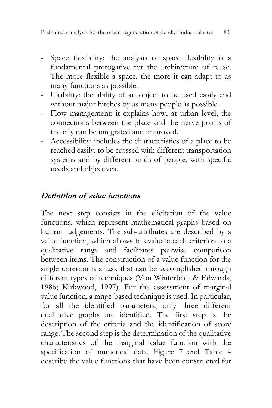- Space flexibility: the analysis of space flexibility is a fundamental prerogative for the architecture of reuse. The more flexible a space, the more it can adapt to as many functions as possible.
- Usability: the ability of an object to be used easily and without major hitches by as many people as possible.
- Flow management: it explains how, at urban level, the connections between the place and the nerve points of the city can be integrated and improved.
- Accessibility: includes the characteristics of a place to be reached easily, to be crossed with different transportation systems and by different kinds of people, with specific needs and objectives.

## Definition of value functions

The next step consists in the elicitation of the value functions, which represent mathematical graphs based on human judgements. The sub-attributes are described by a value function, which allows to evaluate each criterion to a qualitative range and facilitates pairwise comparison between items. The construction of a value function for the single criterion is a task that can be accomplished through different types of techniques (Von Winterfeldt & Edwards, 1986; Kirkwood, 1997). For the assessment of marginal value function, a range-based technique is used. In particular, for all the identified parameters, only three different qualitative graphs are identified. The first step is the description of the criteria and the identification of score range. The second step is the determination of the qualitative characteristics of the marginal value function with the specification of numerical data. Figure 7 and Table 4 describe the value functions that have been constructed for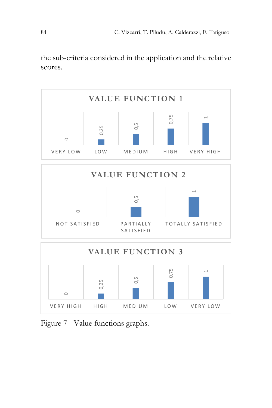the sub-criteria considered in the application and the relative scores.



Figure 7 - Value functions graphs.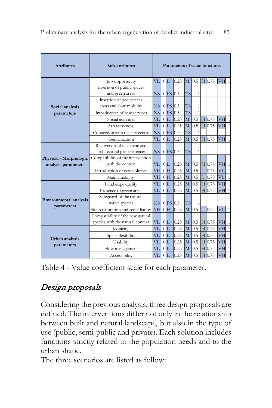| Sub-attributes<br><b>Attributes</b>         |                                                     |                        | Parameters of value functions |                         |          |                |                  |   |                |                  |                |
|---------------------------------------------|-----------------------------------------------------|------------------------|-------------------------------|-------------------------|----------|----------------|------------------|---|----------------|------------------|----------------|
|                                             | VL<br>Job opportunity                               |                        |                               | 0L                      | 0.25     | M              | $\overline{0.5}$ |   | $H$ 0.75       | VH               | 1              |
|                                             | Insertion of public spaces<br>and green areas<br>NS |                        |                               | $0$ <sub>PS</sub> $0.5$ |          | <b>TS</b>      | 1                |   |                |                  |                |
| Social analysis                             | Insertion of pedestrians<br>areas and slow mobility | $NS$ 0 PS 0.5          |                               |                         |          | <b>TS</b>      | 1                |   |                |                  |                |
| parameters                                  | Introduction of new services                        | <b>NS</b>              |                               | $0$ <sub>PS</sub> $0.5$ |          | <b>TS</b>      | $\overline{1}$   |   |                |                  |                |
|                                             | Social activities                                   | VL                     |                               | 0L                      | 0.25     | M              | 0.5              |   | $H$ 0.75       | VH               | $\mathbf{1}$   |
|                                             | Attractiveness                                      | VL                     |                               | 0 <sub>L</sub>          | 0.25     | M              |                  |   | $0.5$ H $0.75$ | VH               | $\mathbf{1}$   |
|                                             | Connection with the city centre                     |                        |                               | $0$ <sub>PS</sub> $0.5$ |          | <b>TS</b>      | 1                |   |                |                  |                |
|                                             | Gentrification                                      | VL                     |                               | 0 <sub>L</sub>          | 0.25     | M              |                  |   | $0.5$ H $0.75$ | <b>VH</b>        | $\mathbf{1}$   |
|                                             | Recovery of the historic and                        |                        |                               |                         |          |                |                  |   |                |                  |                |
|                                             | architectural pre-existences                        | $NS$ 0 PS 0.5          |                               |                         |          | <b>TS</b>      | 1                |   |                |                  |                |
| Physical - Morphologic                      | Compatibility of the intervention                   |                        |                               |                         |          |                |                  |   |                |                  |                |
| analysis parameters                         | with the context                                    | $VL$ $0L$<br><b>VH</b> |                               |                         | $0.25$ M |                |                  |   | $0.5$ H $0.75$ | V <sub>H</sub> 1 |                |
|                                             | Introduction of new volumes                         |                        |                               | 0 <sub>H</sub>          | 0.25     | M              | 0.5              |   | 0.75           | VI.              | $\mathbf{1}$   |
|                                             | Maintainability                                     | <b>VH</b>              |                               | 0H                      | 0.25     | M              | 0.5              |   | 0.75           | VL               | $1\vert$       |
|                                             | Landscape quality                                   | VL<br>VL               |                               | $0T$ .                  | 0.25     | M              | 0.5              |   | $H$ 0.75       | VH               | $\mathbf{1}$   |
|                                             | Presence of green areas                             |                        |                               | $0T$ .                  | 0.25     | M              | 0.5              |   | H 0.75         | <b>VH</b>        | $\mathbf{1}$   |
| <b>Environmental analysis</b><br>parameters | Safeguard of the natural<br>native species          | $NS$ 0 PS 0.5          |                               |                         |          | <b>TS</b>      | 1                |   |                |                  |                |
|                                             | Site renaturation and remediation                   | <b>VH</b>              |                               | 0H                      | 0.25     | $\overline{M}$ | $0.5 \text{ L}$  |   | 0.75           | VL               | 1              |
|                                             | Compatibility of the new natural                    |                        |                               |                         |          |                |                  |   |                |                  |                |
|                                             | species with the natural context                    | VL                     |                               | 0L                      | 0.25     | $\mathbf{M}$   | 0.5              |   | $H$ 0.75       | V <sub>H</sub> 1 |                |
|                                             | Iconicity                                           | VL                     |                               | $0T$ .                  | 0.25     | M              | 0.5              | H | 0.75           | VH               | $\mathbf{1}$   |
| Urban analysis                              | Space flexibility                                   | VL                     |                               | 0L                      | 0.25     | M              | 0.5              |   | $H$ 0.75       | VH               | $\mathbf{1}$   |
| parameters                                  | Usability                                           |                        |                               | 0 <sub>L</sub>          | 0.25     | M              | 0.5              |   | $H$ 0.75       | VH               | $\overline{1}$ |
|                                             | Flow management                                     |                        |                               | 0L                      | 0.25     | M              | 0.5              |   | $H$ 0.75       | <b>VH</b>        | $\mathbf{1}$   |
|                                             | Accessibility                                       | VL                     |                               | 0 <sub>L</sub>          | 0.25     | M              | 0.5              |   | $H$ 0.75       | <b>VH</b>        | $\mathbf{1}$   |

Table 4 - Value coefficient scale for each parameter.

# Design proposals

Considering the previous analysis, three design proposals are defined. The interventions differ not only in the relationship between built and natural landscape, but also in the type of use (public, semi-public and private). Each solution includes functions strictly related to the population needs and to the urban shape.

The three scenarios are listed as follow: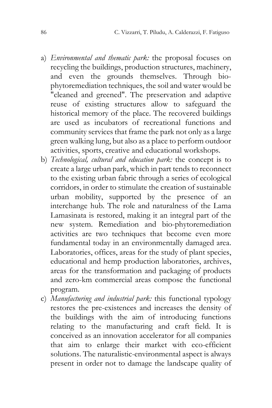- a) *Environmental and thematic park:* the proposal focuses on recycling the buildings, production structures, machinery, and even the grounds themselves. Through biophytoremediation techniques, the soil and water would be "cleaned and greened". The preservation and adaptive reuse of existing structures allow to safeguard the historical memory of the place. The recovered buildings are used as incubators of recreational functions and community services that frame the park not only as a large green walking lung, but also as a place to perform outdoor activities, sports, creative and educational workshops.
- b) *Technological, cultural and education park:* the concept is to create a large urban park, which in part tends to reconnect to the existing urban fabric through a series of ecological corridors, in order to stimulate the creation of sustainable urban mobility, supported by the presence of an interchange hub. The role and naturalness of the Lama Lamasinata is restored, making it an integral part of the new system. Remediation and bio-phytoremediation activities are two techniques that become even more fundamental today in an environmentally damaged area. Laboratories, offices, areas for the study of plant species, educational and hemp production laboratories, archives, areas for the transformation and packaging of products and zero-km commercial areas compose the functional program.
- c) *Manufacturing and industrial park:* this functional typology restores the pre-existences and increases the density of the buildings with the aim of introducing functions relating to the manufacturing and craft field. It is conceived as an innovation accelerator for all companies that aim to enlarge their market with eco-efficient solutions. The naturalistic-environmental aspect is always present in order not to damage the landscape quality of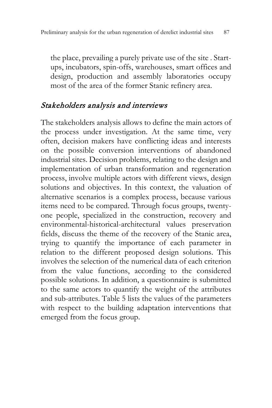the place, prevailing a purely private use of the site . Startups, incubators, spin-offs, warehouses, smart offices and design, production and assembly laboratories occupy most of the area of the former Stanic refinery area.

### Stakeholders analysis and interviews

The stakeholders analysis allows to define the main actors of the process under investigation. At the same time, very often, decision makers have conflicting ideas and interests on the possible conversion interventions of abandoned industrial sites. Decision problems, relating to the design and implementation of urban transformation and regeneration process, involve multiple actors with different views, design solutions and objectives. In this context, the valuation of alternative scenarios is a complex process, because various items need to be compared. Through focus groups, twentyone people, specialized in the construction, recovery and environmental-historical-architectural values preservation fields, discuss the theme of the recovery of the Stanic area, trying to quantify the importance of each parameter in relation to the different proposed design solutions. This involves the selection of the numerical data of each criterion from the value functions, according to the considered possible solutions. In addition, a questionnaire is submitted to the same actors to quantify the weight of the attributes and sub-attributes. Table 5 lists the values of the parameters with respect to the building adaptation interventions that emerged from the focus group.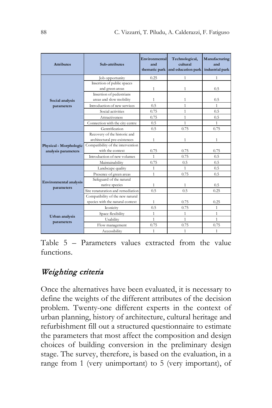| <b>Attributes</b>             | Sub-attributes                                      | Environmental<br>and<br>thematic park | Technological,<br>cultural<br>and education park | Manufacturing<br>and<br>industrial park |  |
|-------------------------------|-----------------------------------------------------|---------------------------------------|--------------------------------------------------|-----------------------------------------|--|
|                               | Job opportunity                                     | 0.25                                  | 1                                                | 1                                       |  |
|                               | Insertion of public spaces<br>and green areas       | 1                                     | 1                                                | 0.5                                     |  |
| Social analysis               | Insertion of pedestrians<br>areas and slow mobility | 1                                     | 1                                                | 0.5                                     |  |
| parameters                    | Introduction of new services                        | 0.5                                   | 1                                                | $\mathbf{1}$                            |  |
|                               | Social activities                                   | 0.75                                  | 1                                                | 0.5                                     |  |
|                               | Attractiveness                                      | 0.75                                  | 1                                                | 0.5                                     |  |
|                               | Connection with the city centre                     | 0.5                                   | $\mathbf{1}$                                     | 1                                       |  |
|                               | Gentrification                                      | 0.5                                   | 0.75                                             | 0.75                                    |  |
|                               | Recovery of the historic and                        |                                       |                                                  |                                         |  |
|                               | architectural pre-existences                        | 1                                     | 1                                                | 1                                       |  |
| Physical - Morphologic        | Compatibility of the intervention                   |                                       |                                                  |                                         |  |
| analysis parameters           | with the context                                    | 0.75                                  | 0.75                                             | 0.75                                    |  |
|                               | Introduction of new volumes                         | 1                                     | 0.75                                             | 0.5                                     |  |
|                               | Maintainability                                     | 0.75                                  | 0.5                                              | 0.5                                     |  |
|                               | Landscape quality                                   | 1                                     | 1                                                | 0.5                                     |  |
|                               | Presence of green areas                             | 1                                     | 0.75                                             | 0.5                                     |  |
| <b>Environmental analysis</b> | Safeguard of the natural                            |                                       |                                                  |                                         |  |
| parameters                    | native species                                      | 1                                     | 1                                                | 0.5                                     |  |
|                               | Site renaturation and remediation                   | 0.5                                   | 0.5                                              | 0.25                                    |  |
|                               | Compatibility of the new natural                    |                                       |                                                  |                                         |  |
|                               | species with the natural context                    | 1                                     | 0.75                                             | 0.25                                    |  |
|                               | Iconicity                                           | 0.5                                   | 0.75                                             | $\mathbf{1}$                            |  |
| Urban analysis                | Space flexibility                                   | 1                                     | $\mathbf{1}$                                     | $\mathbf{1}$                            |  |
| parameters                    | Usability                                           | 1                                     | $\mathbf{1}$                                     | $\mathbf{1}$                            |  |
|                               | Flow management                                     | 0.75                                  | 0.75                                             | 0.75                                    |  |
|                               | Accessibility                                       | 1                                     | $\mathbf{1}$                                     | $\mathbf{1}$                            |  |

Table 5 – Parameters values extracted from the value functions.

# Weighting criteria

Once the alternatives have been evaluated, it is necessary to define the weights of the different attributes of the decision problem. Twenty-one different experts in the context of urban planning, history of architecture, cultural heritage and refurbishment fill out a structured questionnaire to estimate the parameters that most affect the composition and design choices of building conversion in the preliminary design stage. The survey, therefore, is based on the evaluation, in a range from 1 (very unimportant) to 5 (very important), of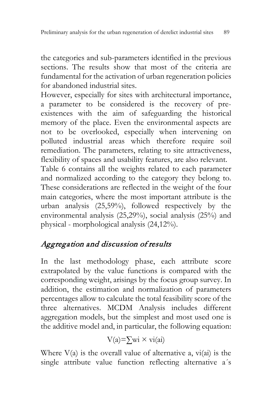the categories and sub-parameters identified in the previous sections. The results show that most of the criteria are fundamental for the activation of urban regeneration policies for abandoned industrial sites.

However, especially for sites with architectural importance, a parameter to be considered is the recovery of preexistences with the aim of safeguarding the historical memory of the place. Even the environmental aspects are not to be overlooked, especially when intervening on polluted industrial areas which therefore require soil remediation. The parameters, relating to site attractiveness, flexibility of spaces and usability features, are also relevant. Table 6 contains all the weights related to each parameter and normalized according to the category they belong to. These considerations are reflected in the weight of the four main categories, where the most important attribute is the urban analysis (25,59%), followed respectively by the environmental analysis (25,29%), social analysis (25%) and physical - morphological analysis (24,12%).

# Aggregation and discussion of results

In the last methodology phase, each attribute score extrapolated by the value functions is compared with the corresponding weight, arisings by the focus group survey. In addition, the estimation and normalization of parameters percentages allow to calculate the total feasibility score of the three alternatives. MCDM Analysis includes different aggregation models, but the simplest and most used one is the additive model and, in particular, the following equation:

$$
V(a) = \sum wi \times vi(ai)
$$

Where  $V(a)$  is the overall value of alternative a,  $vi(ai)$  is the single attribute value function reflecting alternative a´s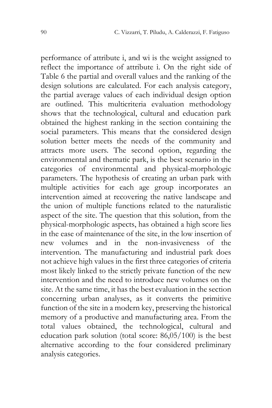performance of attribute i, and wi is the weight assigned to reflect the importance of attribute ì. On the right side of Table 6 the partial and overall values and the ranking of the design solutions are calculated. For each analysis category, the partial average values of each individual design option are outlined. This multicriteria evaluation methodology shows that the technological, cultural and education park obtained the highest ranking in the section containing the social parameters. This means that the considered design solution better meets the needs of the community and attracts more users. The second option, regarding the environmental and thematic park, is the best scenario in the categories of environmental and physical-morphologic parameters. The hypothesis of creating an urban park with multiple activities for each age group incorporates an intervention aimed at recovering the native landscape and the union of multiple functions related to the naturalistic aspect of the site. The question that this solution, from the physical-morphologic aspects, has obtained a high score lies in the ease of maintenance of the site, in the low insertion of new volumes and in the non-invasiveness of the intervention. The manufacturing and industrial park does not achieve high values in the first three categories of criteria most likely linked to the strictly private function of the new intervention and the need to introduce new volumes on the site. At the same time, it has the best evaluation in the section concerning urban analyses, as it converts the primitive function of the site in a modern key, preserving the historical memory of a productive and manufacturing area. From the total values obtained, the technological, cultural and education park solution (total score: 86,05/100) is the best alternative according to the four considered preliminary analysis categories.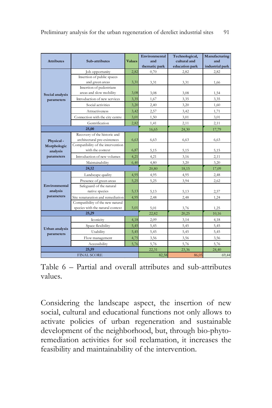| <b>Attributes</b>         | Sub-attributes                                                       | <b>Values</b> | Environmental<br>and<br>thematic park | Technological,<br>cultural and<br>education park | Manufacturing<br>and<br>industrial park |
|---------------------------|----------------------------------------------------------------------|---------------|---------------------------------------|--------------------------------------------------|-----------------------------------------|
|                           | Job opportunity                                                      | 2,82          | 0,70                                  | 2,82                                             | 2,82                                    |
|                           | Insertion of public spaces                                           |               |                                       |                                                  |                                         |
|                           | and green areas                                                      | 3,31          | 3,31                                  | 3,31                                             | 1,66                                    |
| Social analysis           | Insertion of pedestrians<br>areas and slow mobility                  | 3,08          | 3,08                                  | 3,08                                             | 1,54                                    |
| parameters                | Introduction of new services                                         | 3,35          | 1,67                                  | 3,35                                             | 3,35                                    |
|                           | Social activities                                                    | 3,20          | 2,40                                  | 3,20                                             | 1,60                                    |
|                           | Attractiveness                                                       | 3,42          | 2,57                                  | 3,42                                             | 1,71                                    |
|                           | Connection with the city centre                                      | 3,01          | 1,50                                  | 3,01                                             | 3,01                                    |
|                           | Gentrification                                                       | 2,82          | 1,41                                  | 2,11                                             | 2,11                                    |
|                           | 25,00                                                                |               | 16,65                                 | 24,30                                            | 17,79                                   |
| Physical-                 | Recovery of the historic and<br>architectural pre-existences         | 6,63          | 6,63                                  | 6,63                                             | 6,63                                    |
| Morphologic<br>analysis   | Compatibility of the intervention<br>with the context                | 6,87          | 5,15                                  | 5,15                                             | 5,15                                    |
| parameters                | Introduction of new volumes                                          | 4,21          | 4,21                                  | 3,16                                             | 2,11                                    |
|                           | Maintainability                                                      | 6,40          | 4,80                                  | 3.20                                             | 3.20                                    |
| 24,12                     |                                                                      |               | 20,80                                 | 18,15                                            | 17,09                                   |
|                           | Landscape quality                                                    | 4,95          | 4,95                                  | 4,95                                             | 2,48                                    |
|                           | Presence of green areas                                              | 5,25          | 5,25                                  | 3,94                                             | 2,62                                    |
| Environmental<br>analysis | Safeguard of the natural<br>native species                           | 5,13          | 5,13                                  | 5,13                                             | 2,57                                    |
| parameters                | Site renaturation and remediation                                    | 4,95          | 2,48                                  | 2,48                                             | 1.24                                    |
|                           | Compatibility of the new natural<br>species with the natural context | 5,01          | 5,01                                  | 3,76                                             | 1,25                                    |
|                           | 25,29                                                                |               | 22,82                                 | 20,25                                            | 10,16                                   |
|                           | Iconicity                                                            | 4,18          | 2,09                                  | 3,14                                             | 4,18                                    |
| Urban analysis            | Space flexibility                                                    | 5,45          | 5,45                                  | 5,45                                             | 5,45                                    |
| parameters                | Usability                                                            | 5,45          | 5,45                                  | 5,45                                             | 5,45                                    |
|                           | Flow management                                                      | 4,75          | 3,56                                  | 3,56                                             | 3,56                                    |
|                           | Accessibility                                                        | 5,76          | 5,76                                  | 5,76                                             | 5,76                                    |
|                           | 25,59                                                                |               | 22,31                                 | 23,36                                            | 24,40                                   |
|                           | <b>FINAL SCORE</b>                                                   |               | 82,58                                 | 86,05                                            | 69,44                                   |

Table 6 – Partial and overall attributes and sub-attributes values.

Considering the landscape aspect, the insertion of new social, cultural and educational functions not only allows to activate policies of urban regeneration and sustainable development of the neighborhood, but, through bio-phytoremediation activities for soil reclamation, it increases the feasibility and maintainability of the intervention.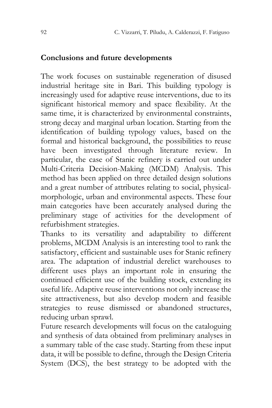#### **Conclusions and future developments**

The work focuses on sustainable regeneration of disused industrial heritage site in Bari. This building typology is increasingly used for adaptive reuse interventions, due to its significant historical memory and space flexibility. At the same time, it is characterized by environmental constraints, strong decay and marginal urban location. Starting from the identification of building typology values, based on the formal and historical background, the possibilities to reuse have been investigated through literature review. In particular, the case of Stanic refinery is carried out under Multi-Criteria Decision-Making (MCDM) Analysis. This method has been applied on three detailed design solutions and a great number of attributes relating to social, physicalmorphologic, urban and environmental aspects. These four main categories have been accurately analysed during the preliminary stage of activities for the development of refurbishment strategies.

Thanks to its versatility and adaptability to different problems, MCDM Analysis is an interesting tool to rank the satisfactory, efficient and sustainable uses for Stanic refinery area. The adaptation of industrial derelict warehouses to different uses plays an important role in ensuring the continued efficient use of the building stock, extending its useful life. Adaptive reuse interventions not only increase the site attractiveness, but also develop modern and feasible strategies to reuse dismissed or abandoned structures, reducing urban sprawl.

Future research developments will focus on the cataloguing and synthesis of data obtained from preliminary analyses in a summary table of the case study. Starting from these input data, it will be possible to define, through the Design Criteria System (DCS), the best strategy to be adopted with the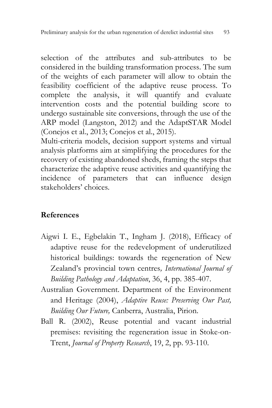selection of the attributes and sub-attributes to be considered in the building transformation process. The sum of the weights of each parameter will allow to obtain the feasibility coefficient of the adaptive reuse process. To complete the analysis, it will quantify and evaluate intervention costs and the potential building score to undergo sustainable site conversions, through the use of the ARP model (Langston, 2012) and the AdaptSTAR Model (Conejos et al., 2013; Conejos et al., 2015).

Multi-criteria models, decision support systems and virtual analysis platforms aim at simplifying the procedures for the recovery of existing abandoned sheds, framing the steps that characterize the adaptive reuse activities and quantifying the incidence of parameters that can influence design stakeholders' choices.

### **References**

- Aigwi I. E., Egbelakin T., Ingham J. (2018), Efficacy of adaptive reuse for the redevelopment of underutilized historical buildings: towards the regeneration of New Zealand's provincial town centres*, International Journal of Building Pathology and Adaptation*, 36, 4, pp. 385-407.
- Australian Government. Department of the Environment and Heritage (2004), *Adaptive Reuse: Preserving Our Past, Building Our Future,* Canberra, Australia, Pirion.
- Ball R. (2002), Reuse potential and vacant industrial premises: revisiting the regeneration issue in Stoke-on-Trent, *Journal of Property Research*, 19, 2, pp. 93-110.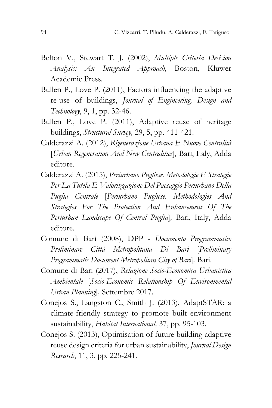- Belton V., Stewart T. J. (2002), *Multiple Criteria Decision Analysis: An Integrated Approach,* Boston, Kluwer Academic Press.
- Bullen P., Love P. (2011), Factors influencing the adaptive re-use of buildings, *Journal of Engineering, Design and Technology*, 9, 1, pp. 32-46.
- Bullen P., Love P. (2011), Adaptive reuse of heritage buildings, *Structural Survey,* 29, 5, pp. 411-421.
- Calderazzi A. (2012), *Rigenerazione Urbana E Nuove Centralità* [*Urban Regeneration And New Centralities*]*,* Bari, Italy, Adda editore.
- Calderazzi A. (2015), *Periurbano Pugliese. Metodologie E Strategie Per La Tutela E Valorizzazione Del Paesaggio Periurbano Della Puglia Centrale* [*Periurbano Pugliese. Methodologies And Strategies For The Protection And Enhancement Of The Periurban Landscape Of Central Puglia*]*,* Bari, Italy, Adda editore.
- Comune di Bari (2008), DPP *Documento Programmatico Preliminare Città Metropolitana Di Bari* [*Preliminary Programmatic Document Metropolitan City of Bari*]*,* Bari*.*
- Comune di Bari (2017), *Relazione Socio-Economica Urbanistica Ambientale* [*Socio-Economic Relationship Of Environmental Urban Planning*]*,* Settembre 2017.
- Conejos S., Langston C., Smith J. (2013), AdaptSTAR: a climate-friendly strategy to promote built environment sustainability, *Habitat International,* 37, pp. 95-103.
- Conejos S. (2013), Optimisation of future building adaptive reuse design criteria for urban sustainability, *Journal Design Research*, 11, 3, pp. 225-241.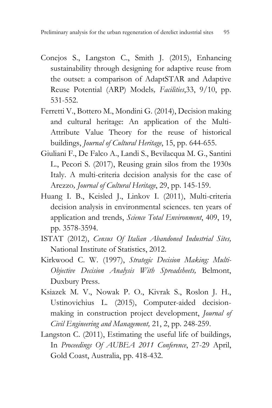- Conejos S., Langston C., Smith J. (2015), Enhancing sustainability through designing for adaptive reuse from the outset: a comparison of AdaptSTAR and Adaptive Reuse Potential (ARP) Models*, Facilities*,33, 9/10, pp. 531-552.
- Ferretti V., Bottero M., Mondini G. (2014), Decision making and cultural heritage: An application of the Multi-Attribute Value Theory for the reuse of historical buildings, *Journal of Cultural Heritage*, 15, pp. 644-655.
- Giuliani F., De Falco A., Landi S., Bevilacqua M. G., Santini L., Pecori S. (2017), Reusing grain silos from the 1930s Italy. A multi-criteria decision analysis for the case of Arezzo*, Journal of Cultural Heritage*, 29, pp. 145-159.
- Huang I. B., Keisled J., Linkov I. (2011), Multi-criteria decision analysis in environmental sciences. ten years of application and trends, *Science Total Environment*, 409, 19, pp. 3578-3594.
- ISTAT (2012), *Census Of Italian Abandoned Industrial Sites,* National Institute of Statistics, 2012.
- Kirkwood C. W. (1997), *Strategic Decision Making: Multi-Objective Decision Analysis With Spreadsheets,* Belmont, Duxbury Press.
- Ksiazek M. V., Nowak P. O., Kivrak S., Roslon J. H., Ustinovichius L. (2015), Computer-aided decisionmaking in construction project development, *Journal of Civil Engineering and Management,* 21, 2, pp. 248-259.
- Langston C. (2011), Estimating the useful life of buildings*,* In *Proceedings Of AUBEA 2011 Conference*, 27-29 April, Gold Coast, Australia, pp. 418-432.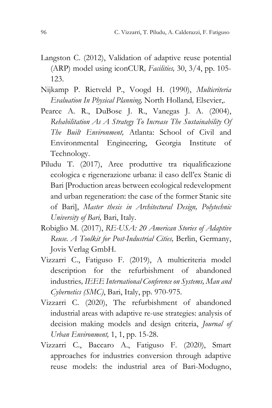- Langston C. (2012), Validation of adaptive reuse potential (ARP) model using iconCUR*, Facilities,* 30, 3/4, pp. 105- 123.
- Nijkamp P. Rietveld P., Voogd H. (1990), *Multicriteria Evaluation In Physical Planning,* North Holland*,* Elsevier,.
- Pearce A. R., DuBose J. R., Vanegas J. A. (2004), *Rehabilitation As A Strategy To Increase The Sustainability Of The Built Environment,* Atlanta: School of Civil and Environmental Engineering, Georgia Institute of Technology.
- Piludu T. (2017), Aree produttive tra riqualificazione ecologica e rigenerazione urbana: il caso dell'ex Stanic di Bari [Production areas between ecological redevelopment and urban regeneration: the case of the former Stanic site of Bari], *Master thesis in Architectural Design, Polytechnic University of Bari,* Bari, Italy.
- Robiglio M. (2017), *RE-USA: 20 American Stories of Adaptive Reuse. A Toolkit for Post-Industrial Cities,* Berlin, Germany, Jovis Verlag GmbH.
- Vizzarri C., Fatiguso F. (2019), A multicriteria model description for the refurbishment of abandoned industries*, IEEE International Conference on Systems, Man and Cybernetics (SMC)*, Bari, Italy, pp. 970-975.
- Vizzarri C. (2020), The refurbishment of abandoned industrial areas with adaptive re-use strategies: analysis of decision making models and design criteria, *Journal of Urban Environment,* 1, 1, pp. 15-28.
- Vizzarri C., Baccaro A., Fatiguso F. (2020), Smart approaches for industries conversion through adaptive reuse models: the industrial area of Bari-Modugno,